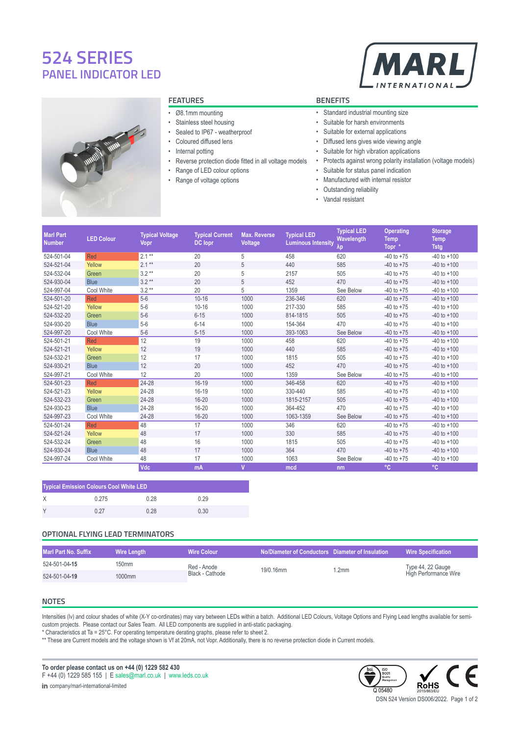# **524 SERIES PANEL INDICATOR LED**





# **FEATURES BENEFITS**

- Ø8.1mm mounting
- Stainless steel housing
- Sealed to IP67 weatherproof
- Coloured diffused lens
- Internal potting
- Reverse protection diode fitted in all voltage models
- Range of LED colour options
- Range of voltage options

- Standard industrial mounting size
- Suitable for harsh environments
- Suitable for external applications
- Diffused lens gives wide viewing angle
- Suitable for high vibration applications
- Protects against wrong polarity installation (voltage models)
- Suitable for status panel indication
- Manufactured with internal resistor
- Outstanding reliability
- Vandal resistant

| <b>Marl Part</b><br><b>Number</b> | <b>LED Colour</b> | <b>Typical Voltage</b><br>Vopr | <b>Typical Current</b><br><b>DC</b> lopr | <b>Max. Reverse</b><br>Voltage | <b>Typical LED</b><br><b>Luminous Intensity</b> | <b>Typical LED</b><br>Wavelength<br>$\lambda p$ | <b>Operating</b><br><b>Temp</b><br>Topr * | <b>Storage</b><br><b>Temp</b><br><b>Tstg</b> |
|-----------------------------------|-------------------|--------------------------------|------------------------------------------|--------------------------------|-------------------------------------------------|-------------------------------------------------|-------------------------------------------|----------------------------------------------|
| 524-501-04                        | Red               | $2.1**$                        | 20                                       | 5                              | 458                                             | 620                                             | $-40$ to $+75$                            | $-40$ to $+100$                              |
| 524-521-04                        | Yellow            | $2.1**$                        | 20                                       | 5                              | 440                                             | 585                                             | $-40$ to $+75$                            | $-40$ to $+100$                              |
| 524-532-04                        | Green             | $3.2**$                        | 20                                       | 5                              | 2157                                            | 505                                             | $-40$ to $+75$                            | $-40$ to $+100$                              |
| 524-930-04                        | <b>Blue</b>       | $3.2**$                        | 20                                       | 5                              | 452                                             | 470                                             | $-40$ to $+75$                            | $-40$ to $+100$                              |
| 524-997-04                        | Cool White        | $3.2**$                        | 20                                       | 5                              | 1359                                            | See Below                                       | $-40$ to $+75$                            | $-40$ to $+100$                              |
| 524-501-20                        | Red               | $5-6$                          | $10 - 16$                                | 1000                           | 236-346                                         | 620                                             | $-40$ to $+75$                            | $-40$ to $+100$                              |
| 524-521-20                        | Yellow            | $5-6$                          | $10 - 16$                                | 1000                           | 217-330                                         | 585                                             | $-40$ to $+75$                            | $-40$ to $+100$                              |
| 524-532-20                        | Green             | $5-6$                          | $6 - 15$                                 | 1000                           | 814-1815                                        | 505                                             | $-40$ to $+75$                            | $-40$ to $+100$                              |
| 524-930-20                        | <b>Blue</b>       | $5-6$                          | $6 - 14$                                 | 1000                           | 154-364                                         | 470                                             | $-40$ to $+75$                            | $-40$ to $+100$                              |
| 524-997-20                        | Cool White        | $5-6$                          | $5 - 15$                                 | 1000                           | 393-1063                                        | See Below                                       | $-40$ to $+75$                            | $-40$ to $+100$                              |
| 524-501-21                        | Red               | 12                             | 19                                       | 1000                           | 458                                             | 620                                             | $-40$ to $+75$                            | $-40$ to $+100$                              |
| 524-521-21                        | Yellow            | 12                             | 19                                       | 1000                           | 440                                             | 585                                             | $-40$ to $+75$                            | $-40$ to $+100$                              |
| 524-532-21                        | Green             | 12                             | 17                                       | 1000                           | 1815                                            | 505                                             | $-40$ to $+75$                            | $-40$ to $+100$                              |
| 524-930-21                        | <b>Blue</b>       | 12                             | 20                                       | 1000                           | 452                                             | 470                                             | $-40$ to $+75$                            | $-40$ to $+100$                              |
| 524-997-21                        | Cool White        | 12                             | 20                                       | 1000                           | 1359                                            | See Below                                       | $-40$ to $+75$                            | $-40$ to $+100$                              |
| 524-501-23                        | Red               | 24-28                          | $16-19$                                  | 1000                           | 346-458                                         | 620                                             | $-40$ to $+75$                            | $-40$ to $+100$                              |
| 524-521-23                        | Yellow            | 24-28                          | $16 - 19$                                | 1000                           | 330-440                                         | 585                                             | $-40$ to $+75$                            | $-40$ to $+100$                              |
| 524-532-23                        | Green             | 24-28                          | $16 - 20$                                | 1000                           | 1815-2157                                       | 505                                             | $-40$ to $+75$                            | $-40$ to $+100$                              |
| 524-930-23                        | <b>Blue</b>       | 24-28                          | 16-20                                    | 1000                           | 364-452                                         | 470                                             | $-40$ to $+75$                            | $-40$ to $+100$                              |
| 524-997-23                        | Cool White        | 24-28                          | $16 - 20$                                | 1000                           | 1063-1359                                       | See Below                                       | $-40$ to $+75$                            | $-40$ to $+100$                              |
| 524-501-24                        | Red               | 48                             | 17                                       | 1000                           | 346                                             | 620                                             | $-40$ to $+75$                            | $-40$ to $+100$                              |
| 524-521-24                        | Yellow            | 48                             | 17                                       | 1000                           | 330                                             | 585                                             | $-40$ to $+75$                            | $-40$ to $+100$                              |
| 524-532-24                        | Green             | 48                             | 16                                       | 1000                           | 1815                                            | 505                                             | $-40$ to $+75$                            | $-40$ to $+100$                              |
| 524-930-24                        | <b>Blue</b>       | 48                             | 17                                       | 1000                           | 364                                             | 470                                             | $-40$ to $+75$                            | $-40$ to $+100$                              |
| 524-997-24                        | Cool White        | 48                             | 17                                       | 1000                           | 1063                                            | See Below                                       | $-40$ to $+75$                            | $-40$ to $+100$                              |
|                                   |                   | <b>Vdc</b>                     | mA                                       | $\overline{\mathsf{v}}$        | mcd                                             | nm                                              | $^{\circ}$ C                              | °C                                           |

| <b>Typical Emission Colours Cool White LED</b> |       |      |      |  |  |
|------------------------------------------------|-------|------|------|--|--|
| X                                              | 0.275 | 0.28 | 0.29 |  |  |
| <b>V</b>                                       | በ 27  | በ 28 | 0.30 |  |  |

# **OPTIONAL FLYING LEAD TERMINATORS**

| Marl Part No. Suffix |        | Wire Colour     | No/Diameter of Conductors Diameter of Insulation |       | <b>Wire Specification</b>                  |
|----------------------|--------|-----------------|--------------------------------------------------|-------|--------------------------------------------|
| 524-501-04-15        | 150mm  | Red - Anode     | 19/0.16mm                                        | 1.2mm | Type 44, 22 Gauge<br>High Performance Wire |
| 524-501-04-19        | 1000mm | Black - Cathode |                                                  |       |                                            |

# **NOTES**

Intensities (Iv) and colour shades of white (X-Y co-ordinates) may vary between LEDs within a batch. Additional LED Colours, Voltage Options and Flying Lead lengths available for semicustom projects. Please contact our Sales Team. All LED components are supplied in anti-static packaging.

\* Characteristics at Ta = 25°C. For operating temperature derating graphs, please refer to sheet 2.

\*\* These are Current models and the voltage shown is Vf at 20mA, not Vopr. Additionally, there is no reverse protection diode in Current models.

**To order please contact us on +44 (0) 1229 582 430** F +44 (0) 1229 585 155 | E [sales@marl.co.uk](mailto:sales@marl.co.uk) | [www.leds.co.uk](https://www.leds.co.uk)

in [company/marl-international-limited](https://linkedin.com/company/marl-international-limited)